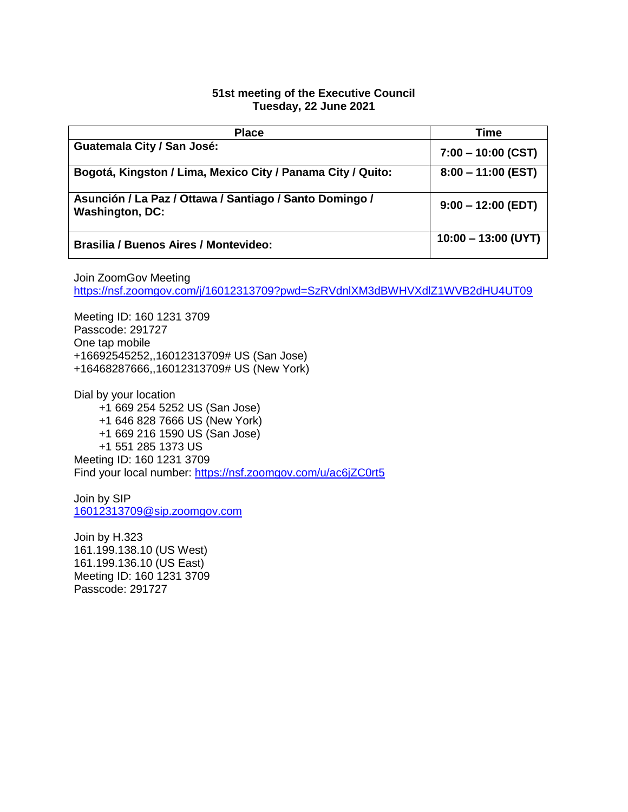### **51st meeting of the Executive Council Tuesday, 22 June 2021**

| <b>Place</b>                                                                      | <b>Time</b>           |
|-----------------------------------------------------------------------------------|-----------------------|
| Guatemala City / San José:                                                        | $7:00 - 10:00$ (CST)  |
| Bogotá, Kingston / Lima, Mexico City / Panama City / Quito:                       | $8:00 - 11:00$ (EST)  |
| Asunción / La Paz / Ottawa / Santiago / Santo Domingo /<br><b>Washington, DC:</b> | $9:00 - 12:00$ (EDT)  |
| <b>Brasilia / Buenos Aires / Montevideo:</b>                                      | $10:00 - 13:00$ (UYT) |

Join ZoomGov Meeting <https://nsf.zoomgov.com/j/16012313709?pwd=SzRVdnlXM3dBWHVXdlZ1WVB2dHU4UT09>

Meeting ID: 160 1231 3709 Passcode: 291727 One tap mobile +16692545252,,16012313709# US (San Jose) +16468287666,,16012313709# US (New York)

Dial by your location +1 669 254 5252 US (San Jose) +1 646 828 7666 US (New York) +1 669 216 1590 US (San Jose) +1 551 285 1373 US Meeting ID: 160 1231 3709 Find your local number:<https://nsf.zoomgov.com/u/ac6jZC0rt5>

Join by SIP [16012313709@sip.zoomgov.com](mailto:16012313709@sip.zoomgov.com)

Join by H.323 161.199.138.10 (US West) 161.199.136.10 (US East) Meeting ID: 160 1231 3709 Passcode: 291727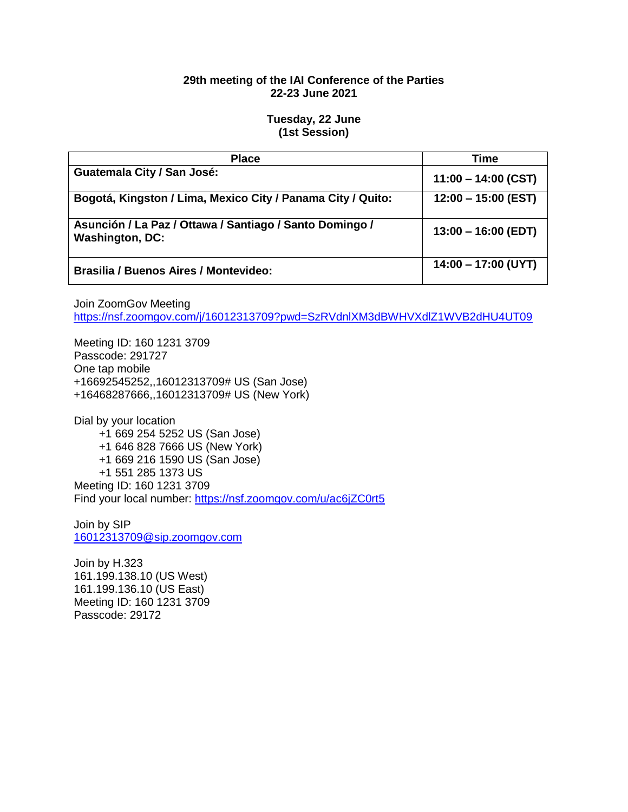## **29th meeting of the IAI Conference of the Parties 22-23 June 2021**

### **Tuesday, 22 June (1st Session)**

| <b>Place</b>                                                                      | Time                  |
|-----------------------------------------------------------------------------------|-----------------------|
| Guatemala City / San José:                                                        | $11:00 - 14:00$ (CST) |
| Bogotá, Kingston / Lima, Mexico City / Panama City / Quito:                       | $12:00 - 15:00$ (EST) |
| Asunción / La Paz / Ottawa / Santiago / Santo Domingo /<br><b>Washington, DC:</b> | $13:00 - 16:00$ (EDT) |
| <b>Brasilia / Buenos Aires / Montevideo:</b>                                      | $14:00 - 17:00$ (UYT) |

Join ZoomGov Meeting

<https://nsf.zoomgov.com/j/16012313709?pwd=SzRVdnlXM3dBWHVXdlZ1WVB2dHU4UT09>

Meeting ID: 160 1231 3709 Passcode: 291727 One tap mobile +16692545252,,16012313709# US (San Jose) +16468287666,,16012313709# US (New York)

Dial by your location +1 669 254 5252 US (San Jose) +1 646 828 7666 US (New York) +1 669 216 1590 US (San Jose) +1 551 285 1373 US Meeting ID: 160 1231 3709 Find your local number:<https://nsf.zoomgov.com/u/ac6jZC0rt5>

Join by SIP [16012313709@sip.zoomgov.com](mailto:16012313709@sip.zoomgov.com)

Join by H.323 161.199.138.10 (US West) 161.199.136.10 (US East) Meeting ID: 160 1231 3709 Passcode: 29172